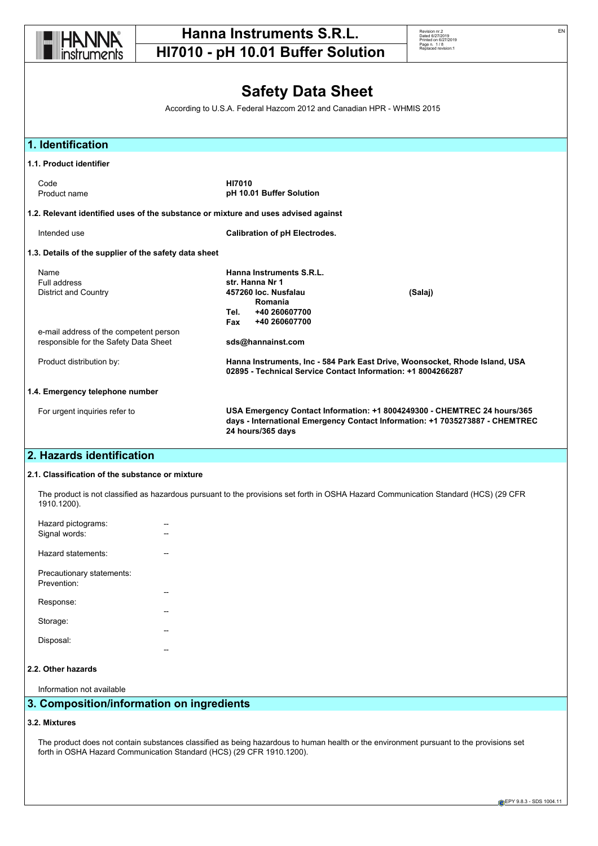

Revision nr.2 Dated 6/27/2019 Printed on 6/27/2019 Page n. 1 / 8 Replaced revision:1

# **Safety Data Sheet**

According to U.S.A. Federal Hazcom 2012 and Canadian HPR - WHMIS 2015

| 1. Identification                                                                  |                                                                                                                                 |                                                                                                                                                          |
|------------------------------------------------------------------------------------|---------------------------------------------------------------------------------------------------------------------------------|----------------------------------------------------------------------------------------------------------------------------------------------------------|
| 1.1. Product identifier                                                            |                                                                                                                                 |                                                                                                                                                          |
| Code<br>Product name                                                               | <b>HI7010</b><br>pH 10.01 Buffer Solution                                                                                       |                                                                                                                                                          |
| 1.2. Relevant identified uses of the substance or mixture and uses advised against |                                                                                                                                 |                                                                                                                                                          |
| Intended use                                                                       | <b>Calibration of pH Electrodes.</b>                                                                                            |                                                                                                                                                          |
| 1.3. Details of the supplier of the safety data sheet                              |                                                                                                                                 |                                                                                                                                                          |
| Name<br>Full address<br><b>District and Country</b>                                | Hanna Instruments S.R.L.<br>str. Hanna Nr 1<br>457260 loc. Nusfalau<br>Romania<br>+40 260607700<br>Tel.<br>+40 260607700<br>Fax | (Salaj)                                                                                                                                                  |
| e-mail address of the competent person<br>responsible for the Safety Data Sheet    | sds@hannainst.com                                                                                                               |                                                                                                                                                          |
| Product distribution by:                                                           | 02895 - Technical Service Contact Information: +1 8004266287                                                                    | Hanna Instruments, Inc - 584 Park East Drive, Woonsocket, Rhode Island, USA                                                                              |
| 1.4. Emergency telephone number                                                    |                                                                                                                                 |                                                                                                                                                          |
| For urgent inquiries refer to                                                      | 24 hours/365 days                                                                                                               | USA Emergency Contact Information: +1 8004249300 - CHEMTREC 24 hours/365<br>days - International Emergency Contact Information: +1 7035273887 - CHEMTREC |

## **2. Hazards identification**

### **2.1. Classification of the substance or mixture**

The product is not classified as hazardous pursuant to the provisions set forth in OSHA Hazard Communication Standard (HCS) (29 CFR 1910.1200).

| Hazard pictograms:<br>Signal words:                  |  |
|------------------------------------------------------|--|
| Hazard statements:                                   |  |
| Precautionary statements:<br>Prevention <sup>-</sup> |  |
| Response:                                            |  |
| Storage:                                             |  |
| Disposal:                                            |  |
|                                                      |  |

# **2.2. Other hazards**

Information not available

# **3. Composition/information on ingredients**

# **3.2. Mixtures**

The product does not contain substances classified as being hazardous to human health or the environment pursuant to the provisions set forth in OSHA Hazard Communication Standard (HCS) (29 CFR 1910.1200).

EN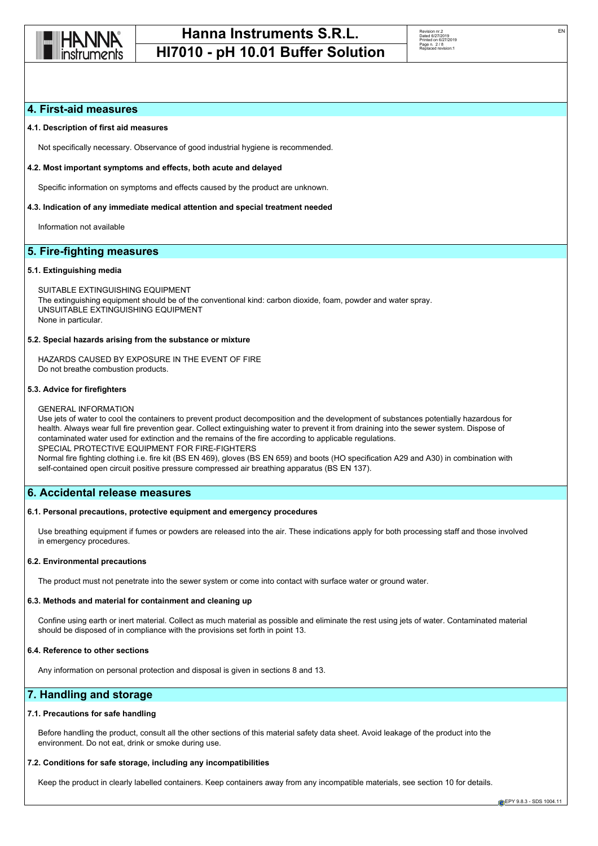

| Revision nr 2        |
|----------------------|
| Dated 6/27/2019      |
| Printed on 6/27/2019 |
| Page n. 2/8          |
| Replaced revision:1  |
|                      |
|                      |

# **4. First-aid measures**

## **4.1. Description of first aid measures**

Not specifically necessary. Observance of good industrial hygiene is recommended.

## **4.2. Most important symptoms and effects, both acute and delayed**

Specific information on symptoms and effects caused by the product are unknown.

## **4.3. Indication of any immediate medical attention and special treatment needed**

Information not available

# **5. Fire-fighting measures**

## **5.1. Extinguishing media**

SUITABLE EXTINGUISHING EQUIPMENT The extinguishing equipment should be of the conventional kind: carbon dioxide, foam, powder and water spray. UNSUITABLE EXTINGUISHING EQUIPMENT None in particular.

## **5.2. Special hazards arising from the substance or mixture**

HAZARDS CAUSED BY EXPOSURE IN THE EVENT OF FIRE Do not breathe combustion products.

## **5.3. Advice for firefighters**

#### GENERAL INFORMATION

Use jets of water to cool the containers to prevent product decomposition and the development of substances potentially hazardous for health. Always wear full fire prevention gear. Collect extinguishing water to prevent it from draining into the sewer system. Dispose of contaminated water used for extinction and the remains of the fire according to applicable regulations. SPECIAL PROTECTIVE EQUIPMENT FOR FIRE-FIGHTERS Normal fire fighting clothing i.e. fire kit (BS EN 469), gloves (BS EN 659) and boots (HO specification A29 and A30) in combination with self-contained open circuit positive pressure compressed air breathing apparatus (BS EN 137).

## **6. Accidental release measures**

#### **6.1. Personal precautions, protective equipment and emergency procedures**

Use breathing equipment if fumes or powders are released into the air. These indications apply for both processing staff and those involved in emergency procedures.

#### **6.2. Environmental precautions**

The product must not penetrate into the sewer system or come into contact with surface water or ground water.

#### **6.3. Methods and material for containment and cleaning up**

Confine using earth or inert material. Collect as much material as possible and eliminate the rest using jets of water. Contaminated material should be disposed of in compliance with the provisions set forth in point 13.

#### **6.4. Reference to other sections**

Any information on personal protection and disposal is given in sections 8 and 13.

## **7. Handling and storage**

#### **7.1. Precautions for safe handling**

Before handling the product, consult all the other sections of this material safety data sheet. Avoid leakage of the product into the environment. Do not eat, drink or smoke during use.

### **7.2. Conditions for safe storage, including any incompatibilities**

Keep the product in clearly labelled containers. Keep containers away from any incompatible materials, see section 10 for details.

EN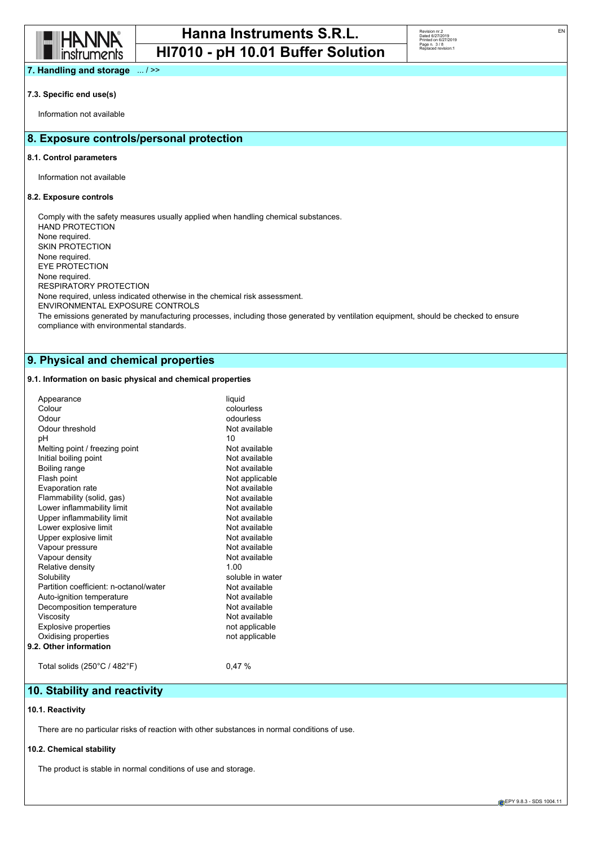

| Revision nr.2        |
|----------------------|
| Dated 6/27/2019      |
| Printed on 6/27/2019 |
| Page n. 3/8          |
| Replaced revision:1  |
|                      |
|                      |

**7. Handling and storage** ... / >>

## **7.3. Specific end use(s)**

Information not available

## **8. Exposure controls/personal protection**

#### **8.1. Control parameters**

Information not available

## **8.2. Exposure controls**

Comply with the safety measures usually applied when handling chemical substances. HAND PROTECTION None required. SKIN PROTECTION None required. EYE PROTECTION None required. RESPIRATORY PROTECTION None required, unless indicated otherwise in the chemical risk assessment. ENVIRONMENTAL EXPOSURE CONTROLS The emissions generated by manufacturing processes, including those generated by ventilation equipment, should be checked to ensure compliance with environmental standards.

## **9. Physical and chemical properties**

## **9.1. Information on basic physical and chemical properties**

| Appearance<br>Colour<br>Odour<br>Odour threshold<br>рH<br>Melting point / freezing point<br>Initial boiling point<br>Boiling range<br>Flash point<br>Evaporation rate<br>Flammability (solid, gas)<br>Lower inflammability limit<br>Upper inflammability limit<br>Lower explosive limit<br>Upper explosive limit<br>Vapour pressure<br>Vapour density<br>Relative density<br>Solubility | liquid<br>colourless<br>odourless<br>Not available<br>10<br>Not available<br>Not available<br>Not available<br>Not applicable<br>Not available<br>Not available<br>Not available<br>Not available<br>Not available<br>Not available<br>Not available<br>Not available<br>1.00<br>soluble in water |
|-----------------------------------------------------------------------------------------------------------------------------------------------------------------------------------------------------------------------------------------------------------------------------------------------------------------------------------------------------------------------------------------|---------------------------------------------------------------------------------------------------------------------------------------------------------------------------------------------------------------------------------------------------------------------------------------------------|
|                                                                                                                                                                                                                                                                                                                                                                                         |                                                                                                                                                                                                                                                                                                   |
|                                                                                                                                                                                                                                                                                                                                                                                         |                                                                                                                                                                                                                                                                                                   |
| Partition coefficient: n-octanol/water                                                                                                                                                                                                                                                                                                                                                  | Not available                                                                                                                                                                                                                                                                                     |
| Auto-ignition temperature<br>Decomposition temperature                                                                                                                                                                                                                                                                                                                                  | Not available<br>Not available                                                                                                                                                                                                                                                                    |
| Viscosity                                                                                                                                                                                                                                                                                                                                                                               | Not available                                                                                                                                                                                                                                                                                     |
| <b>Explosive properties</b>                                                                                                                                                                                                                                                                                                                                                             | not applicable                                                                                                                                                                                                                                                                                    |
| Oxidising properties                                                                                                                                                                                                                                                                                                                                                                    | not applicable                                                                                                                                                                                                                                                                                    |
| 9.2. Other information                                                                                                                                                                                                                                                                                                                                                                  |                                                                                                                                                                                                                                                                                                   |
| Total solids $(250^{\circ}C / 482^{\circ}F)$                                                                                                                                                                                                                                                                                                                                            | 0.47%                                                                                                                                                                                                                                                                                             |
|                                                                                                                                                                                                                                                                                                                                                                                         |                                                                                                                                                                                                                                                                                                   |

## **10. Stability and reactivity**

### **10.1. Reactivity**

There are no particular risks of reaction with other substances in normal conditions of use.

### **10.2. Chemical stability**

The product is stable in normal conditions of use and storage.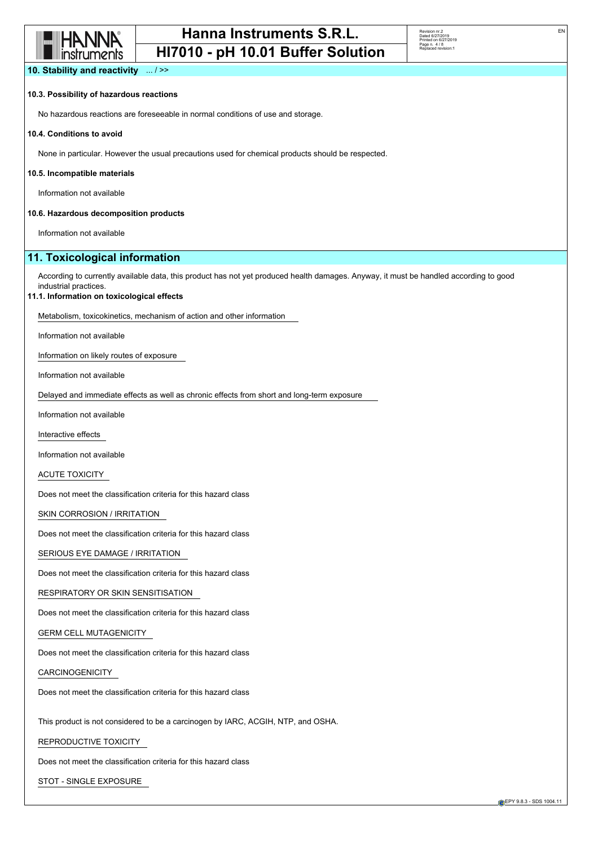

Revision nr.2 Dated 6/27/2019 Printed on 6/27/2019 Page n. 4 / 8 Replaced revision:1

EN

**10. Stability and reactivity** ... / >>

## **10.3. Possibility of hazardous reactions**

No hazardous reactions are foreseeable in normal conditions of use and storage.

#### **10.4. Conditions to avoid**

None in particular. However the usual precautions used for chemical products should be respected.

#### **10.5. Incompatible materials**

Information not available

#### **10.6. Hazardous decomposition products**

Information not available

## **11. Toxicological information**

According to currently available data, this product has not yet produced health damages. Anyway, it must be handled according to good industrial practices.

#### **11.1. Information on toxicological effects**

Metabolism, toxicokinetics, mechanism of action and other information

Information not available

Information on likely routes of exposure

Information not available

Delayed and immediate effects as well as chronic effects from short and long-term exposure

Information not available

Interactive effects

Information not available

ACUTE TOXICITY

Does not meet the classification criteria for this hazard class

SKIN CORROSION / IRRITATION

Does not meet the classification criteria for this hazard class

SERIOUS EYE DAMAGE / IRRITATION

Does not meet the classification criteria for this hazard class

RESPIRATORY OR SKIN SENSITISATION

Does not meet the classification criteria for this hazard class

GERM CELL MUTAGENICITY

Does not meet the classification criteria for this hazard class

CARCINOGENICITY

Does not meet the classification criteria for this hazard class

This product is not considered to be a carcinogen by IARC, ACGIH, NTP, and OSHA.

### REPRODUCTIVE TOXICITY

Does not meet the classification criteria for this hazard class

STOT - SINGLE EXPOSURE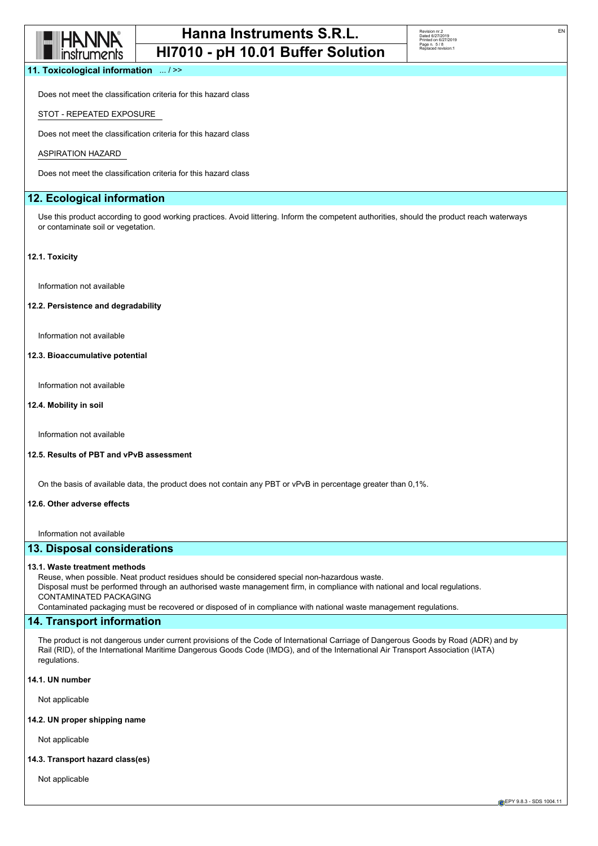

| Revision nr 2        |
|----------------------|
| Dated 6/27/2019      |
| Printed on 6/27/2019 |
| Page n. 5/8          |
| Replaced revision:1  |
|                      |

EN

**11. Toxicological information** ... / >>

Does not meet the classification criteria for this hazard class

## STOT - REPEATED EXPOSURE

Does not meet the classification criteria for this hazard class

#### ASPIRATION HAZARD

Does not meet the classification criteria for this hazard class

## **12. Ecological information**

Use this product according to good working practices. Avoid littering. Inform the competent authorities, should the product reach waterways or contaminate soil or vegetation.

#### **12.1. Toxicity**

Information not available

### **12.2. Persistence and degradability**

Information not available

### **12.3. Bioaccumulative potential**

Information not available

#### **12.4. Mobility in soil**

Information not available

#### **12.5. Results of PBT and vPvB assessment**

On the basis of available data, the product does not contain any PBT or vPvB in percentage greater than 0,1%.

#### **12.6. Other adverse effects**

Information not available

## **13. Disposal considerations**

#### **13.1. Waste treatment methods**

Reuse, when possible. Neat product residues should be considered special non-hazardous waste. Disposal must be performed through an authorised waste management firm, in compliance with national and local regulations. CONTAMINATED PACKAGING Contaminated packaging must be recovered or disposed of in compliance with national waste management regulations.

## **14. Transport information**

The product is not dangerous under current provisions of the Code of International Carriage of Dangerous Goods by Road (ADR) and by Rail (RID), of the International Maritime Dangerous Goods Code (IMDG), and of the International Air Transport Association (IATA) regulations.

## **14.1. UN number**

Not applicable

## **14.2. UN proper shipping name**

Not applicable

#### **14.3. Transport hazard class(es)**

Not applicable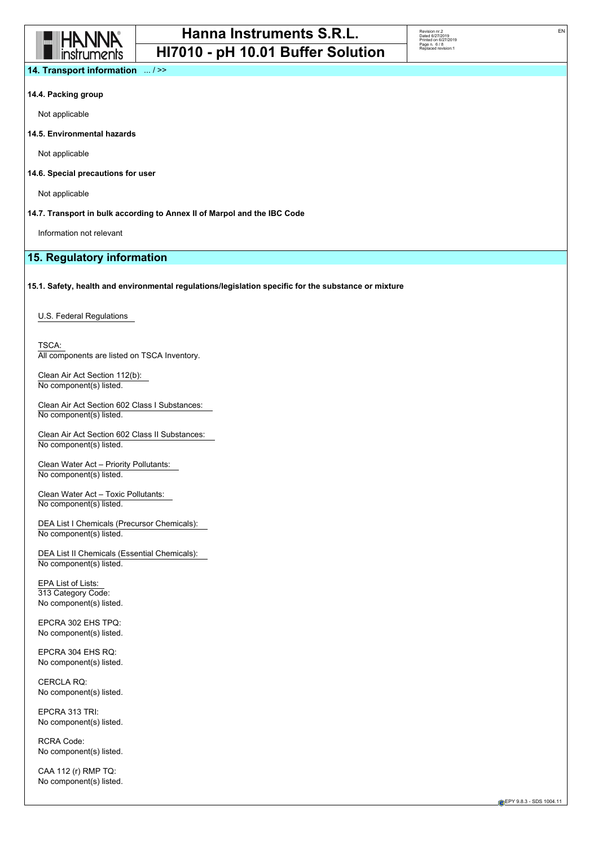

| Revision nr.2        |
|----------------------|
| Dated 6/27/2019      |
| Printed on 6/27/2019 |
| Page n. 6/8          |
| Replaced revision:1  |
|                      |
|                      |

EN

**14. Transport information** ... / >>

#### **14.4. Packing group**

Not applicable

**14.5. Environmental hazards**

Not applicable

### **14.6. Special precautions for user**

Not applicable

## **14.7. Transport in bulk according to Annex II of Marpol and the IBC Code**

Information not relevant

# **15. Regulatory information**

## **15.1. Safety, health and environmental regulations/legislation specific for the substance or mixture**

U.S. Federal Regulations

TSCA: All components are listed on TSCA Inventory.

Clean Air Act Section 112(b): No component(s) listed.

Clean Air Act Section 602 Class I Substances: No component(s) listed.

Clean Air Act Section 602 Class II Substances: No component(s) listed.

Clean Water Act – Priority Pollutants: No component(s) listed.

Clean Water Act – Toxic Pollutants: No component(s) listed.

DEA List I Chemicals (Precursor Chemicals): No component(s) listed.

DEA List II Chemicals (Essential Chemicals): No component(s) listed.

EPA List of Lists: 313 Category Code: No component(s) listed.

EPCRA 302 EHS TPQ: No component(s) listed.

EPCRA 304 EHS RQ: No component(s) listed.

CERCLA RQ: No component(s) listed.

EPCRA 313 TRI: No component(s) listed.

RCRA Code: No component(s) listed.

CAA 112 (r) RMP TQ: No component(s) listed.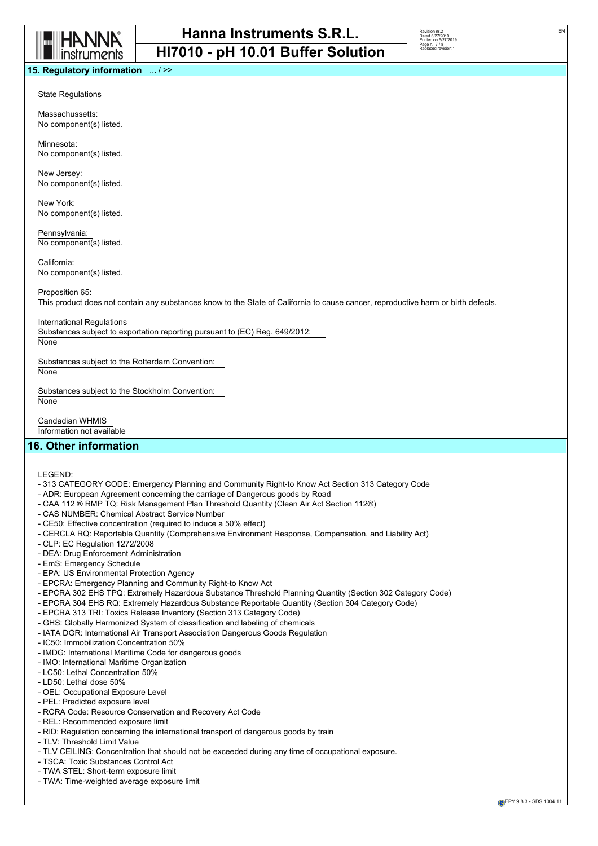

| Revision nr.2        |
|----------------------|
| Dated 6/27/2019      |
| Printed on 6/27/2019 |
| Page n. 7/8          |
| Replaced revision:1  |
|                      |
|                      |

EN

State Regulations

Massachussetts: No component(s) listed.

Minnesota: No component(s) listed.

New Jersey: No component(s) listed.

New York: No component(s) listed.

Pennsylvania: No component(s) listed.

California: No component(s) listed.

Proposition 65:

This product does not contain any substances know to the State of California to cause cancer, reproductive harm or birth defects.

International Regulations

Substances subject to exportation reporting pursuant to (EC) Reg. 649/2012:

**None** 

Substances subject to the Rotterdam Convention:

None

Substances subject to the Stockholm Convention: **None** 

Candadian WHMIS Information not available

# **16. Other information**

LEGEND:

- 313 CATEGORY CODE: Emergency Planning and Community Right-to Know Act Section 313 Category Code
- ADR: European Agreement concerning the carriage of Dangerous goods by Road
- CAA 112 ® RMP TQ: Risk Management Plan Threshold Quantity (Clean Air Act Section 112®)
- CAS NUMBER: Chemical Abstract Service Number
- CE50: Effective concentration (required to induce a 50% effect)
- CERCLA RQ: Reportable Quantity (Comprehensive Environment Response, Compensation, and Liability Act)
- CLP: EC Regulation 1272/2008
- DEA: Drug Enforcement Administration
- EmS: Emergency Schedule
- EPA: US Environmental Protection Agency
- EPCRA: Emergency Planning and Community Right-to Know Act
- EPCRA 302 EHS TPQ: Extremely Hazardous Substance Threshold Planning Quantity (Section 302 Category Code)
- EPCRA 304 EHS RQ: Extremely Hazardous Substance Reportable Quantity (Section 304 Category Code)
- EPCRA 313 TRI: Toxics Release Inventory (Section 313 Category Code)
- GHS: Globally Harmonized System of classification and labeling of chemicals
- IATA DGR: International Air Transport Association Dangerous Goods Regulation
- IC50: Immobilization Concentration 50%
- IMDG: International Maritime Code for dangerous goods
- IMO: International Maritime Organization
- LC50: Lethal Concentration 50%
- LD50: Lethal dose 50%
- OEL: Occupational Exposure Level
- PEL: Predicted exposure level
- RCRA Code: Resource Conservation and Recovery Act Code
- REL: Recommended exposure limit
- RID: Regulation concerning the international transport of dangerous goods by train
- TLV: Threshold Limit Value
- TLV CEILING: Concentration that should not be exceeded during any time of occupational exposure.
- TSCA: Toxic Substances Control Act
- TWA STEL: Short-term exposure limit
- TWA: Time-weighted average exposure limit